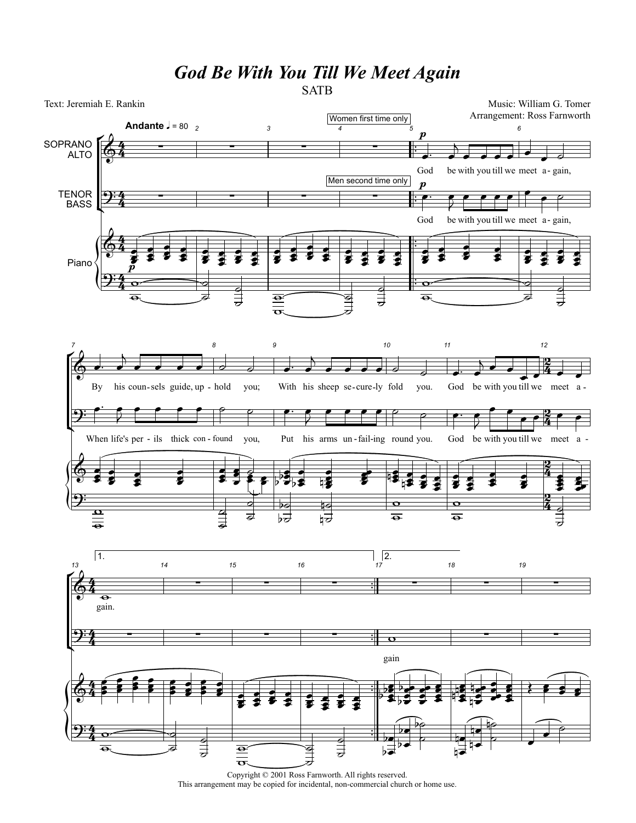## *God Be With You Till We Meet Again*

**SATB** 



Copyright © 2001 Ross Farnworth. All rights reserved. This arrangement may be copied for incidental, non-commercial church or home use.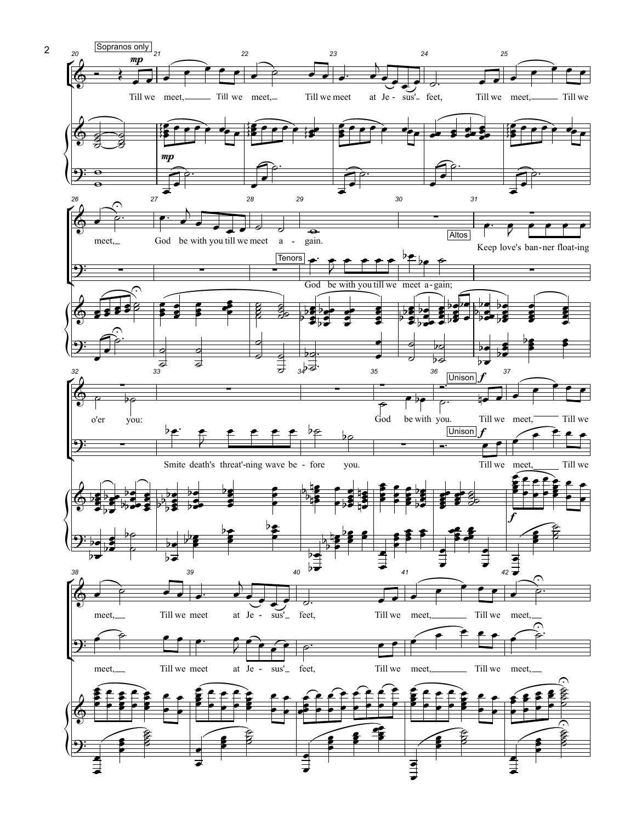